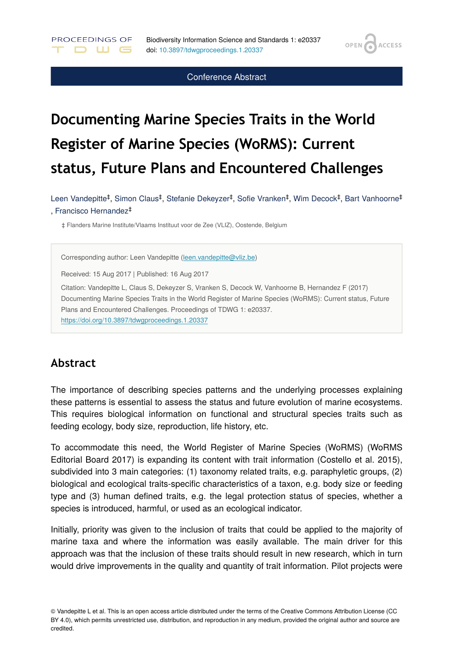**OPEN** 

**ACCESS** 

Conference Abstract

# **Documenting Marine Species Traits in the World Register of Marine Species (WoRMS): Current status, Future Plans and Encountered Challenges**

Leen Vandepitte<sup>‡</sup>, Simon Claus<sup>‡</sup>, Stefanie Dekeyzer<sup>‡</sup>, Sofie Vranken<sup>‡</sup>, Wim Decock<sup>‡</sup>, Bart Vanhoorne<sup>‡</sup> , Francisco Hernandez ‡

‡ Flanders Marine Institute/Vlaams Instituut voor de Zee (VLIZ), Oostende, Belgium

Corresponding author: Leen Vandepitte ([leen.vandepitte@vliz.be](mailto:leen.vandepitte@vliz.be))

Received: 15 Aug 2017 | Published: 16 Aug 2017

PROCEEDINGS OF

**DUG** 

Citation: Vandepitte L, Claus S, Dekeyzer S, Vranken S, Decock W, Vanhoorne B, Hernandez F (2017) Documenting Marine Species Traits in the World Register of Marine Species (WoRMS): Current status, Future Plans and Encountered Challenges. Proceedings of TDWG 1: e20337. <https://doi.org/10.3897/tdwgproceedings.1.20337>

#### **Abstract**

The importance of describing species patterns and the underlying processes explaining these patterns is essential to assess the status and future evolution of marine ecosystems. This requires biological information on functional and structural species traits such as feeding ecology, body size, reproduction, life history, etc.

To accommodate this need, the World Register of Marine Species (WoRMS) (WoRMS Editorial Board 2017) is expanding its content with trait information (Costello et al. 2015), subdivided into 3 main categories: (1) taxonomy related traits, e.g. paraphyletic groups, (2) biological and ecological traits-specific characteristics of a taxon, e.g. body size or feeding type and (3) human defined traits, e.g. the legal protection status of species, whether a species is introduced, harmful, or used as an ecological indicator.

Initially, priority was given to the inclusion of traits that could be applied to the majority of marine taxa and where the information was easily available. The main driver for this approach was that the inclusion of these traits should result in new research, which in turn would drive improvements in the quality and quantity of trait information. Pilot projects were

<sup>©</sup> Vandepitte L et al. This is an open access article distributed under the terms of the Creative Commons Attribution License (CC BY 4.0), which permits unrestricted use, distribution, and reproduction in any medium, provided the original author and source are credited.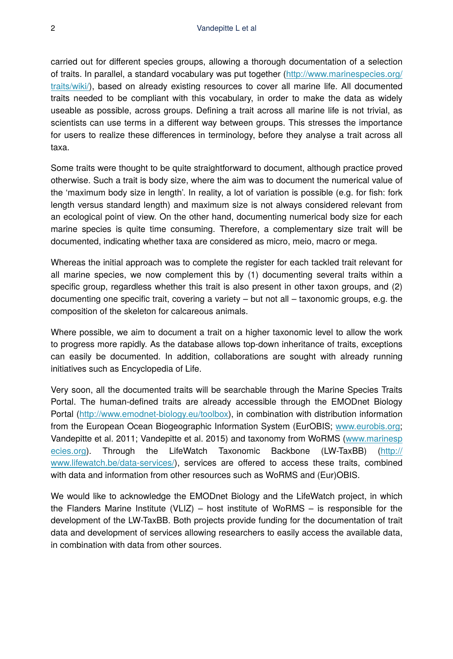carried out for different species groups, allowing a thorough documentation of a selection of traits. In parallel, a standard vocabulary was put together [\(http://www.marinespecies.org/](http://www.marinespecies.org/traits/wiki/) [traits/wiki/\)](http://www.marinespecies.org/traits/wiki/), based on already existing resources to cover all marine life. All documented traits needed to be compliant with this vocabulary, in order to make the data as widely useable as possible, across groups. Defining a trait across all marine life is not trivial, as scientists can use terms in a different way between groups. This stresses the importance for users to realize these differences in terminology, before they analyse a trait across all taxa.

Some traits were thought to be quite straightforward to document, although practice proved otherwise. Such a trait is body size, where the aim was to document the numerical value of the 'maximum body size in length'. In reality, a lot of variation is possible (e.g. for fish: fork length versus standard length) and maximum size is not always considered relevant from an ecological point of view. On the other hand, documenting numerical body size for each marine species is quite time consuming. Therefore, a complementary size trait will be documented, indicating whether taxa are considered as micro, meio, macro or mega.

Whereas the initial approach was to complete the register for each tackled trait relevant for all marine species, we now complement this by (1) documenting several traits within a specific group, regardless whether this trait is also present in other taxon groups, and (2) documenting one specific trait, covering a variety – but not all – taxonomic groups, e.g. the composition of the skeleton for calcareous animals.

Where possible, we aim to document a trait on a higher taxonomic level to allow the work to progress more rapidly. As the database allows top-down inheritance of traits, exceptions can easily be documented. In addition, collaborations are sought with already running initiatives such as Encyclopedia of Life.

Very soon, all the documented traits will be searchable through the Marine Species Traits Portal. The human-defined traits are already accessible through the EMODnet Biology Portal ([http://www.emodnet-biology.eu/toolbox\)](http://www.emodnet-biology.eu/toolbox), in combination with distribution information from the European Ocean Biogeographic Information System (EurOBIS; [www.eurobis.org;](http://www.eurobis.org) Vandepitte et al. 2011; Vandepitte et al. 2015) and taxonomy from WoRMS ([www.marinesp](http://www.marinespecies.org) [ecies.org\)](http://www.marinespecies.org). Through the LifeWatch Taxonomic Backbone (LW-TaxBB) ([http://](http://www.lifewatch.be/data-services/) [www.lifewatch.be/data-services/\)](http://www.lifewatch.be/data-services/), services are offered to access these traits, combined with data and information from other resources such as WoRMS and (Eur)OBIS.

We would like to acknowledge the EMODnet Biology and the LifeWatch project, in which the Flanders Marine Institute  $(VLIZ)$  – host institute of WoRMS – is responsible for the development of the LW-TaxBB. Both projects provide funding for the documentation of trait data and development of services allowing researchers to easily access the available data, in combination with data from other sources.